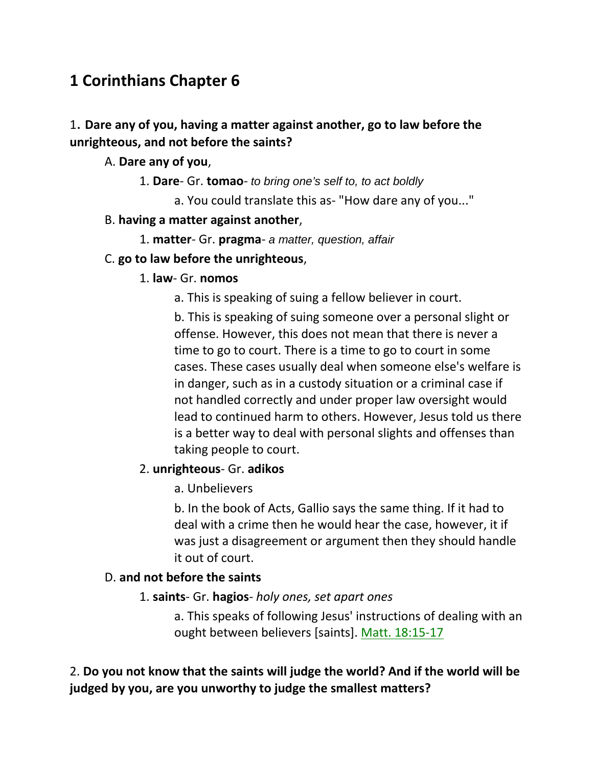# **1 Corinthians Chapter 6**

# 1. **Dare any of you, having a matter against another, go to law before the unrighteous, and not before the saints?**

### A. **Dare any of you**,

- 1. **Dare** Gr. **tomao** *to bring one's self to, to act boldly*
	- a. You could translate this as- "How dare any of you..."

#### B. **having a matter against another**,

1. **matter**- Gr. **pragma**- *a matter, question, affair*

#### C. **go to law before the unrighteous**,

- 1. **law** Gr. **nomos**
	- a. This is speaking of suing a fellow believer in court.

b. This is speaking of suing someone over a personal slight or offense. However, this does not mean that there is never a time to go to court. There is a time to go to court in some cases. These cases usually deal when someone else's welfare is in danger, such as in a custody situation or a criminal case if not handled correctly and under proper law oversight would lead to continued harm to others. However, Jesus told us there is a better way to deal with personal slights and offenses than taking people to court.

### 2. **unrighteous**- Gr. **adikos**

a. Unbelievers

b. In the book of Acts, Gallio says the same thing. If it had to deal with a crime then he would hear the case, however, it if was just a disagreement or argument then they should handle it out of court.

### D. **and not before the saints**

1. **saints**- Gr. **hagios**- *holy ones, set apart ones*

a. This speaks of following Jesus' instructions of dealing with an ought between believers [saints]. Matt. 18:15-17

2. **Do you not know that the saints will judge the world? And if the world will be judged by you, are you unworthy to judge the smallest matters?**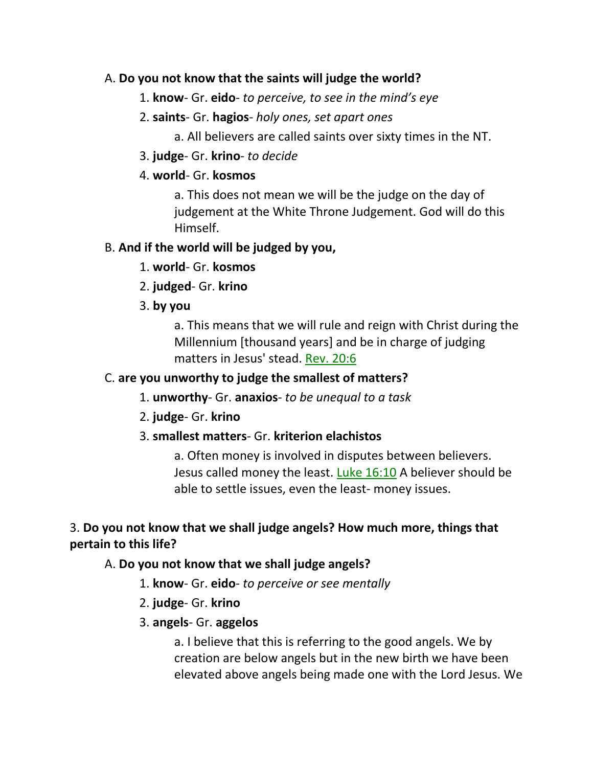### A. **Do you not know that the saints will judge the world?**

- 1. **know** Gr. **eido** *to perceive, to see in the mind's eye*
- 2. **saints** Gr. **hagios** *holy ones, set apart ones*
	- a. All believers are called saints over sixty times in the NT.
- 3. **judge** Gr. **krino** *to decide*

### 4. **world**- Gr. **kosmos**

a. This does not mean we will be the judge on the day of judgement at the White Throne Judgement. God will do this Himself.

## B. **And if the world will be judged by you,**

- 1. **world** Gr. **kosmos**
- 2. **judged** Gr. **krino**
- 3. **by you**

a. This means that we will rule and reign with Christ during the Millennium [thousand years] and be in charge of judging matters in Jesus' stead. Rev. 20:6

# C. **are you unworthy to judge the smallest of matters?**

- 1. **unworthy** Gr. **anaxios** *to be unequal to a task*
- 2. **judge** Gr. **krino**

## 3. **smallest matters**- Gr. **kriterion elachistos**

a. Often money is involved in disputes between believers. Jesus called money the least. Luke 16:10 A believer should be able to settle issues, even the least- money issues.

# 3. **Do you not know that we shall judge angels? How much more, things that pertain to this life?**

## A. **Do you not know that we shall judge angels?**

- 1. **know** Gr. **eido** *to perceive or see mentally*
- 2. **judge** Gr. **krino**
- 3. **angels** Gr. **aggelos**

a. I believe that this is referring to the good angels. We by creation are below angels but in the new birth we have been elevated above angels being made one with the Lord Jesus. We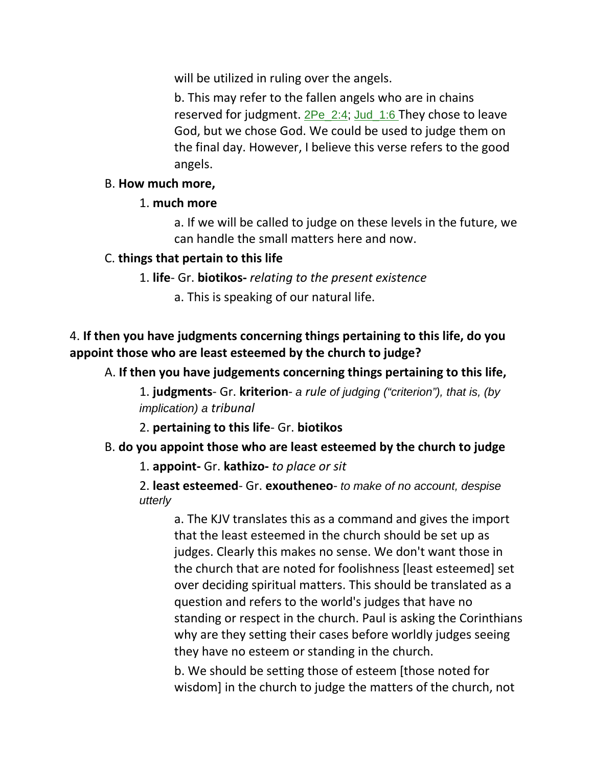will be utilized in ruling over the angels.

b. This may refer to the fallen angels who are in chains reserved for judgment. 2Pe\_2:4; Jud\_1:6 They chose to leave God, but we chose God. We could be used to judge them on the final day. However, I believe this verse refers to the good angels.

#### B. **How much more,**

### 1. **much more**

a. If we will be called to judge on these levels in the future, we can handle the small matters here and now.

### C. **things that pertain to this life**

1. **life**- Gr. **biotikos-** *relating to the present existence*

a. This is speaking of our natural life.

## 4. **If then you have judgments concerning things pertaining to this life, do you appoint those who are least esteemed by the church to judge?**

A. **If then you have judgements concerning things pertaining to this life,**

1. **judgments**- Gr. **kriterion**- *a rule of judging ("criterion"), that is, (by implication) a tribunal*

2. **pertaining to this life**- Gr. **biotikos**

### B. **do you appoint those who are least esteemed by the church to judge**

1. **appoint-** Gr. **kathizo-** *to place or sit*

2. **least esteemed**- Gr. **exoutheneo**- *to make of no account, despise utterly*

a. The KJV translates this as a command and gives the import that the least esteemed in the church should be set up as judges. Clearly this makes no sense. We don't want those in the church that are noted for foolishness [least esteemed] set over deciding spiritual matters. This should be translated as a question and refers to the world's judges that have no standing or respect in the church. Paul is asking the Corinthians why are they setting their cases before worldly judges seeing they have no esteem or standing in the church.

b. We should be setting those of esteem [those noted for wisdom] in the church to judge the matters of the church, not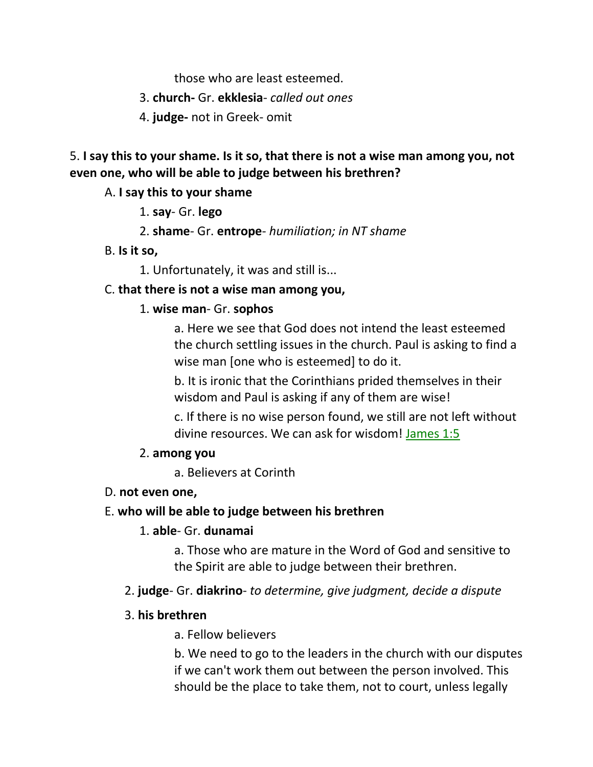those who are least esteemed.

3. **church-** Gr. **ekklesia**- *called out ones*

4. **judge-** not in Greek- omit

5. **I say this to your shame. Is it so, that there is not a wise man among you, not even one, who will be able to judge between his brethren?** 

#### A. **I say this to your shame**

- 1. **say** Gr. **lego**
- 2. **shame** Gr. **entrope** *humiliation; in NT shame*
- B. **Is it so,**

1. Unfortunately, it was and still is...

#### C. **that there is not a wise man among you,**

#### 1. **wise man**- Gr. **sophos**

a. Here we see that God does not intend the least esteemed the church settling issues in the church. Paul is asking to find a wise man [one who is esteemed] to do it.

b. It is ironic that the Corinthians prided themselves in their wisdom and Paul is asking if any of them are wise!

c. If there is no wise person found, we still are not left without divine resources. We can ask for wisdom! James 1:5

#### 2. **among you**

a. Believers at Corinth

#### D. **not even one,**

#### E. **who will be able to judge between his brethren**

#### 1. **able**- Gr. **dunamai**

a. Those who are mature in the Word of God and sensitive to the Spirit are able to judge between their brethren.

#### 2. **judge**- Gr. **diakrino**- *to determine, give judgment, decide a dispute*

#### 3. **his brethren**

a. Fellow believers

b. We need to go to the leaders in the church with our disputes if we can't work them out between the person involved. This should be the place to take them, not to court, unless legally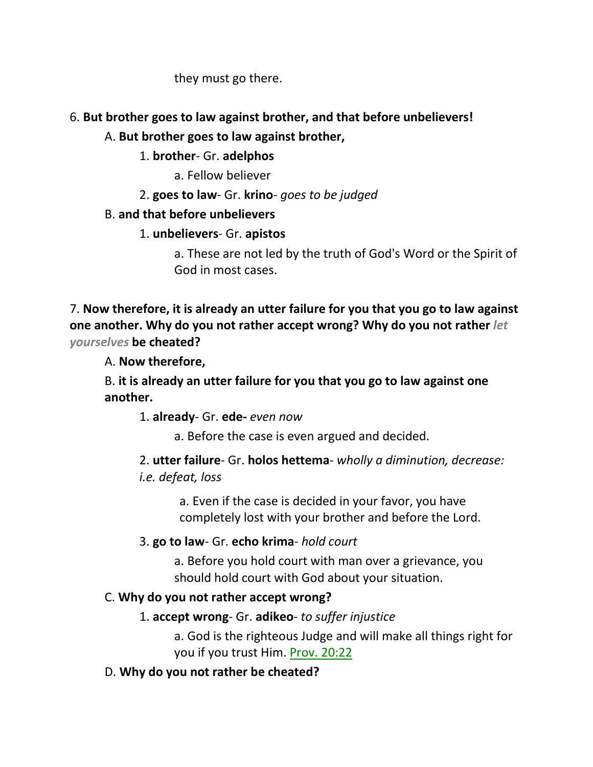they must go there.

## 6. **But brother goes to law against brother, and that before unbelievers!**

## A. **But brother goes to law against brother,**

# 1. **brother**- Gr. **adelphos**

a. Fellow believer

2. **goes to law**- Gr. **krino**- *goes to be judged*

# B. **and that before unbelievers**

# 1. **unbelievers**- Gr. **apistos**

a. These are not led by the truth of God's Word or the Spirit of God in most cases.

7. **Now therefore, it is already an utter failure for you that you go to law against one another. Why do you not rather accept wrong? Why do you not rather** *let yourselves* **be cheated?** 

A. **Now therefore,**

B. **it is already an utter failure for you that you go to law against one another.**

1. **already**- Gr. **ede-** *even now*

a. Before the case is even argued and decided.

2. **utter failure**- Gr. **holos hettema**- *wholly a diminution, decrease: i.e. defeat, loss*

> a. Even if the case is decided in your favor, you have completely lost with your brother and before the Lord.

# 3. **go to law**- Gr. **echo krima**- *hold court*

a. Before you hold court with man over a grievance, you should hold court with God about your situation.

# C. **Why do you not rather accept wrong?**

# 1. **accept wrong**- Gr. **adikeo**- *to suffer injustice*

a. God is the righteous Judge and will make all things right for you if you trust Him. Prov. 20:22

# D. **Why do you not rather be cheated?**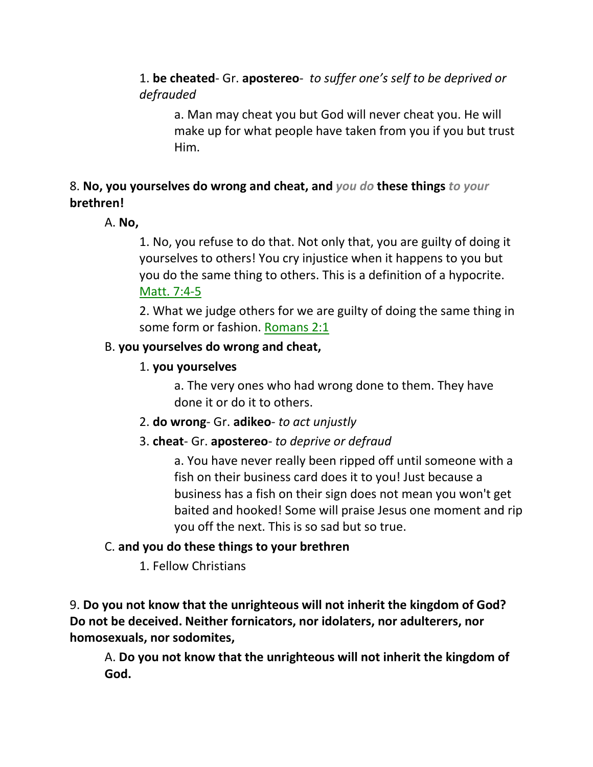1. **be cheated**- Gr. **apostereo**- *to suffer one's self to be deprived or defrauded*

a. Man may cheat you but God will never cheat you. He will make up for what people have taken from you if you but trust Him.

# 8. **No, you yourselves do wrong and cheat, and** *you do* **these things** *to your* **brethren!**

## A. **No,**

1. No, you refuse to do that. Not only that, you are guilty of doing it yourselves to others! You cry injustice when it happens to you but you do the same thing to others. This is a definition of a hypocrite. Matt. 7:4-5

2. What we judge others for we are guilty of doing the same thing in some form or fashion. Romans 2:1

### B. **you yourselves do wrong and cheat,**

# 1. **you yourselves**

a. The very ones who had wrong done to them. They have done it or do it to others.

- 2. **do wrong** Gr. **adikeo** *to act unjustly*
- 3. **cheat** Gr. **apostereo** *to deprive or defraud*

a. You have never really been ripped off until someone with a fish on their business card does it to you! Just because a business has a fish on their sign does not mean you won't get baited and hooked! Some will praise Jesus one moment and rip you off the next. This is so sad but so true.

## C. **and you do these things to your brethren**

1. Fellow Christians

9. **Do you not know that the unrighteous will not inherit the kingdom of God? Do not be deceived. Neither fornicators, nor idolaters, nor adulterers, nor homosexuals, nor sodomites,** 

A. **Do you not know that the unrighteous will not inherit the kingdom of God.**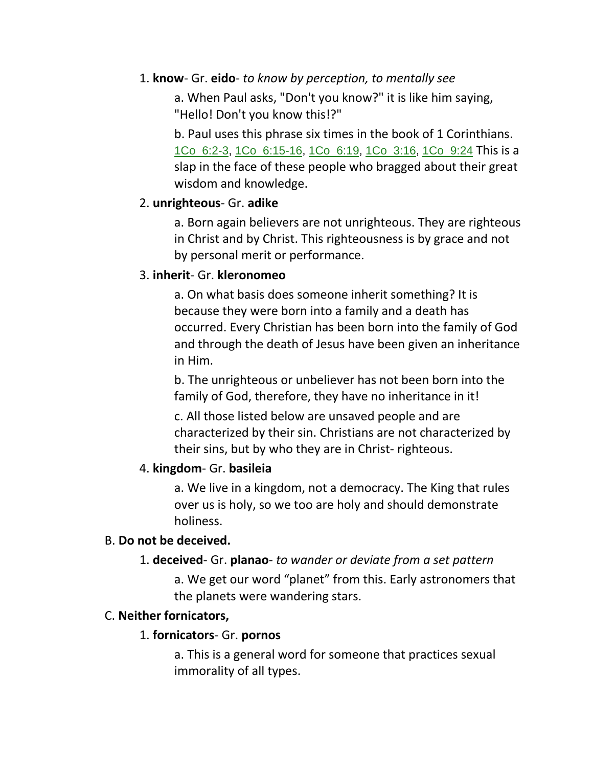#### 1. **know**- Gr. **eido**- *to know by perception, to mentally see*

a. When Paul asks, "Don't you know?" it is like him saying, "Hello! Don't you know this!?"

b. Paul uses this phrase six times in the book of 1 Corinthians. 1Co\_6:2-3, 1Co\_6:15-16, 1Co\_6:19, 1Co\_3:16, 1Co\_9:24 This is a slap in the face of these people who bragged about their great wisdom and knowledge.

### 2. **unrighteous**- Gr. **adike**

a. Born again believers are not unrighteous. They are righteous in Christ and by Christ. This righteousness is by grace and not by personal merit or performance.

### 3. **inherit**- Gr. **kleronomeo**

a. On what basis does someone inherit something? It is because they were born into a family and a death has occurred. Every Christian has been born into the family of God and through the death of Jesus have been given an inheritance in Him.

b. The unrighteous or unbeliever has not been born into the family of God, therefore, they have no inheritance in it!

c. All those listed below are unsaved people and are characterized by their sin. Christians are not characterized by their sins, but by who they are in Christ- righteous.

## 4. **kingdom**- Gr. **basileia**

a. We live in a kingdom, not a democracy. The King that rules over us is holy, so we too are holy and should demonstrate holiness.

### B. **Do not be deceived.**

### 1. **deceived**- Gr. **planao**- *to wander or deviate from a set pattern*

a. We get our word "planet" from this. Early astronomers that the planets were wandering stars.

## C. **Neither fornicators,**

### 1. **fornicators**- Gr. **pornos**

a. This is a general word for someone that practices sexual immorality of all types.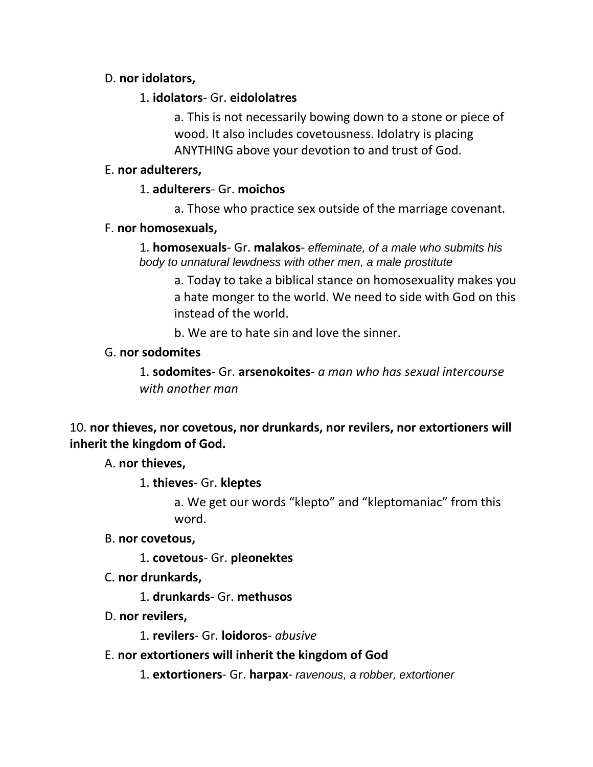### D. **nor idolators,**

#### 1. **idolators**- Gr. **eidololatres**

a. This is not necessarily bowing down to a stone or piece of wood. It also includes covetousness. Idolatry is placing ANYTHING above your devotion to and trust of God.

#### E. **nor adulterers,**

#### 1. **adulterers**- Gr. **moichos**

a. Those who practice sex outside of the marriage covenant.

#### F. **nor homosexuals,**

1. **homosexuals**- Gr. **malakos**- *effeminate, of a male who submits his body to unnatural lewdness with other men, a male prostitute*

a. Today to take a biblical stance on homosexuality makes you a hate monger to the world. We need to side with God on this instead of the world.

b. We are to hate sin and love the sinner.

#### G. **nor sodomites**

1. **sodomites**- Gr. **arsenokoites**- *a man who has sexual intercourse with another man*

### 10. **nor thieves, nor covetous, nor drunkards, nor revilers, nor extortioners will inherit the kingdom of God.**

A. **nor thieves,**

1. **thieves**- Gr. **kleptes**

a. We get our words "klepto" and "kleptomaniac" from this word.

B. **nor covetous,**

1. **covetous**- Gr. **pleonektes**

C. **nor drunkards,**

1. **drunkards**- Gr. **methusos**

D. **nor revilers,**

1. **revilers**- Gr. **loidoros**- *abusive*

E. **nor extortioners will inherit the kingdom of God** 

1. **extortioners**- Gr. **harpax**- *ravenous, a robber, extortioner*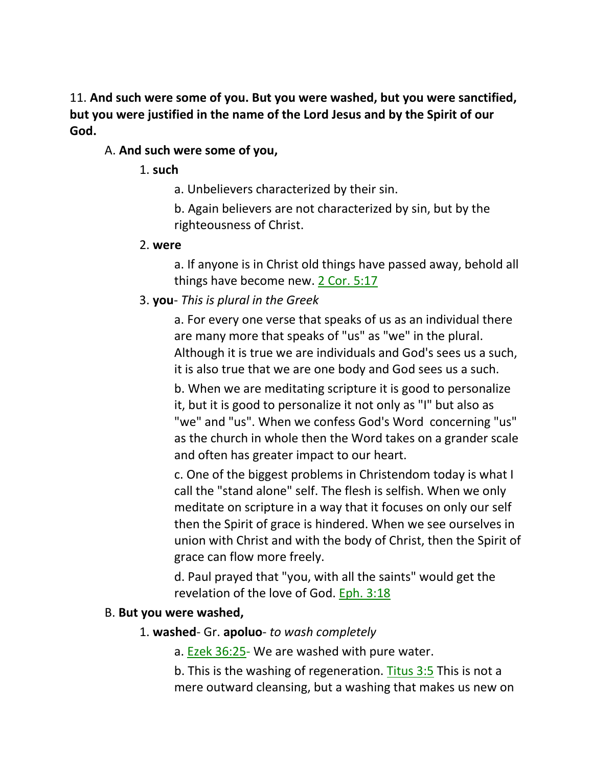11. **And such were some of you. But you were washed, but you were sanctified, but you were justified in the name of the Lord Jesus and by the Spirit of our God.** 

### A. **And such were some of you,**

#### 1. **such**

a. Unbelievers characterized by their sin.

b. Again believers are not characterized by sin, but by the righteousness of Christ.

#### 2. **were**

a. If anyone is in Christ old things have passed away, behold all things have become new. 2 Cor. 5:17

## 3. **you**- *This is plural in the Greek*

a. For every one verse that speaks of us as an individual there are many more that speaks of "us" as "we" in the plural. Although it is true we are individuals and God's sees us a such, it is also true that we are one body and God sees us a such.

b. When we are meditating scripture it is good to personalize it, but it is good to personalize it not only as "I" but also as "we" and "us". When we confess God's Word concerning "us" as the church in whole then the Word takes on a grander scale and often has greater impact to our heart.

c. One of the biggest problems in Christendom today is what I call the "stand alone" self. The flesh is selfish. When we only meditate on scripture in a way that it focuses on only our self then the Spirit of grace is hindered. When we see ourselves in union with Christ and with the body of Christ, then the Spirit of grace can flow more freely.

d. Paul prayed that "you, with all the saints" would get the revelation of the love of God. Eph. 3:18

### B. **But you were washed,**

### 1. **washed**- Gr. **apoluo**- *to wash completely*

a. Ezek 36:25- We are washed with pure water.

b. This is the washing of regeneration. Titus 3:5 This is not a mere outward cleansing, but a washing that makes us new on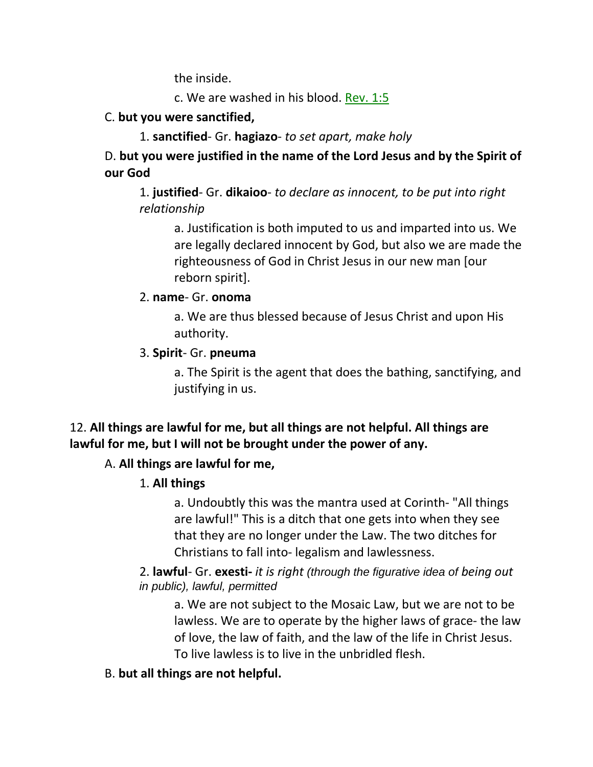the inside.

c. We are washed in his blood. Rev. 1:5

## C. **but you were sanctified,**

1. **sanctified**- Gr. **hagiazo**- *to set apart, make holy*

D. **but you were justified in the name of the Lord Jesus and by the Spirit of our God**

1. **justified**- Gr. **dikaioo**- *to declare as innocent, to be put into right relationship*

a. Justification is both imputed to us and imparted into us. We are legally declared innocent by God, but also we are made the righteousness of God in Christ Jesus in our new man [our reborn spirit].

## 2. **name**- Gr. **onoma**

a. We are thus blessed because of Jesus Christ and upon His authority.

## 3. **Spirit**- Gr. **pneuma**

a. The Spirit is the agent that does the bathing, sanctifying, and justifying in us.

# 12. **All things are lawful for me, but all things are not helpful. All things are lawful for me, but I will not be brought under the power of any.**

## A. **All things are lawful for me,**

# 1. **All things**

a. Undoubtly this was the mantra used at Corinth- "All things are lawful!" This is a ditch that one gets into when they see that they are no longer under the Law. The two ditches for Christians to fall into- legalism and lawlessness.

### 2. **lawful**- Gr. **exesti-** *it is right (through the figurative idea of being out in public), lawful, permitted*

a. We are not subject to the Mosaic Law, but we are not to be lawless. We are to operate by the higher laws of grace- the law of love, the law of faith, and the law of the life in Christ Jesus. To live lawless is to live in the unbridled flesh.

## B. **but all things are not helpful.**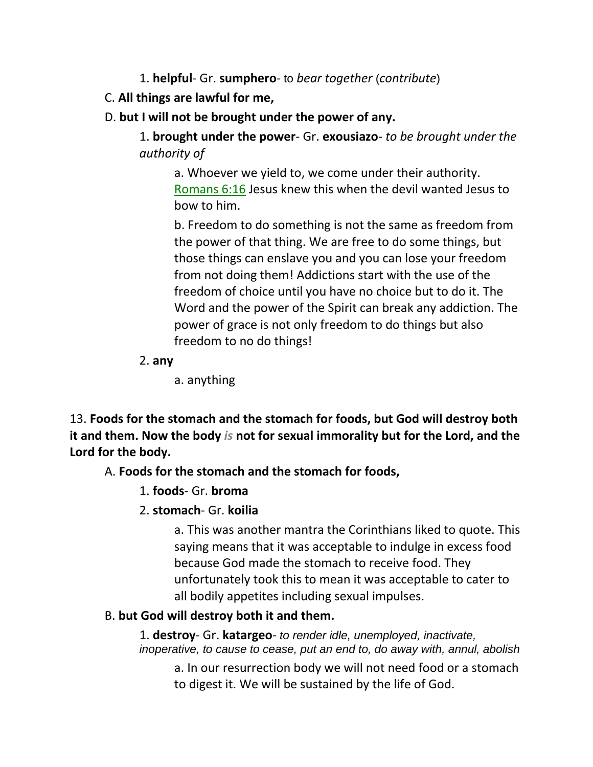- 1. **helpful** Gr. **sumphero** to *bear together* (*contribute*)
- C. **All things are lawful for me,**
- D. **but I will not be brought under the power of any.**

1. **brought under the power**- Gr. **exousiazo**- *to be brought under the authority of*

a. Whoever we yield to, we come under their authority. Romans 6:16 Jesus knew this when the devil wanted Jesus to bow to him.

b. Freedom to do something is not the same as freedom from the power of that thing. We are free to do some things, but those things can enslave you and you can lose your freedom from not doing them! Addictions start with the use of the freedom of choice until you have no choice but to do it. The Word and the power of the Spirit can break any addiction. The power of grace is not only freedom to do things but also freedom to no do things!

2. **any**

a. anything

13. **Foods for the stomach and the stomach for foods, but God will destroy both it and them. Now the body** *is* **not for sexual immorality but for the Lord, and the Lord for the body.** 

A. **Foods for the stomach and the stomach for foods,**

- 1. **foods** Gr. **broma**
- 2. **stomach** Gr. **koilia**

a. This was another mantra the Corinthians liked to quote. This saying means that it was acceptable to indulge in excess food because God made the stomach to receive food. They unfortunately took this to mean it was acceptable to cater to all bodily appetites including sexual impulses.

## B. **but God will destroy both it and them.**

1. **destroy**- Gr. **katargeo**- *to render idle, unemployed, inactivate, inoperative, to cause to cease, put an end to, do away with, annul, abolish*

a. In our resurrection body we will not need food or a stomach to digest it. We will be sustained by the life of God.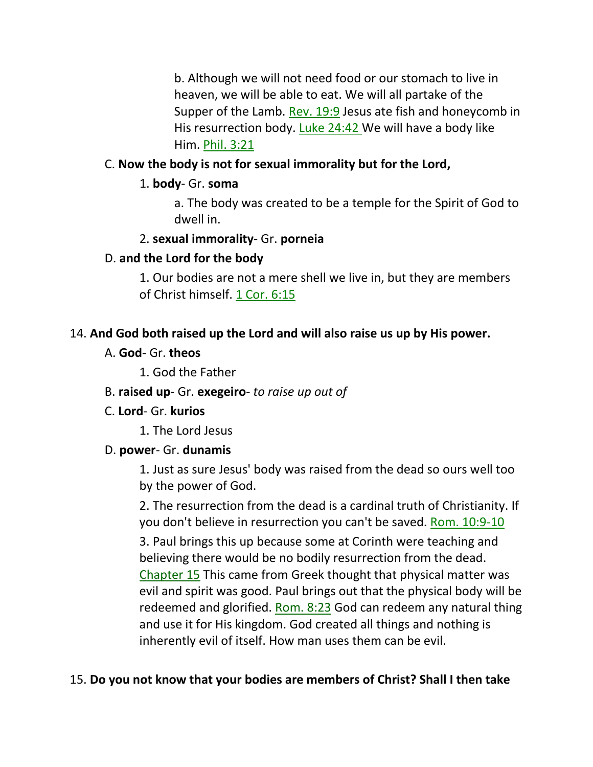b. Although we will not need food or our stomach to live in heaven, we will be able to eat. We will all partake of the Supper of the Lamb. Rev. 19:9 Jesus ate fish and honeycomb in His resurrection body. Luke 24:42 We will have a body like Him. Phil. 3:21

## C. **Now the body is not for sexual immorality but for the Lord,**

## 1. **body**- Gr. **soma**

a. The body was created to be a temple for the Spirit of God to dwell in.

## 2. **sexual immorality**- Gr. **porneia**

## D. **and the Lord for the body**

1. Our bodies are not a mere shell we live in, but they are members of Christ himself. 1 Cor. 6:15

### 14. **And God both raised up the Lord and will also raise us up by His power.**

A. **God**- Gr. **theos**

1. God the Father

- B. **raised up** Gr. **exegeiro** *to raise up out of*
- C. **Lord** Gr. **kurios**
	- 1. The Lord Jesus

### D. **power**- Gr. **dunamis**

1. Just as sure Jesus' body was raised from the dead so ours well too by the power of God.

2. The resurrection from the dead is a cardinal truth of Christianity. If you don't believe in resurrection you can't be saved. Rom. 10:9-10 3. Paul brings this up because some at Corinth were teaching and believing there would be no bodily resurrection from the dead. Chapter 15 This came from Greek thought that physical matter was evil and spirit was good. Paul brings out that the physical body will be redeemed and glorified. Rom. 8:23 God can redeem any natural thing and use it for His kingdom. God created all things and nothing is inherently evil of itself. How man uses them can be evil.

## 15. **Do you not know that your bodies are members of Christ? Shall I then take**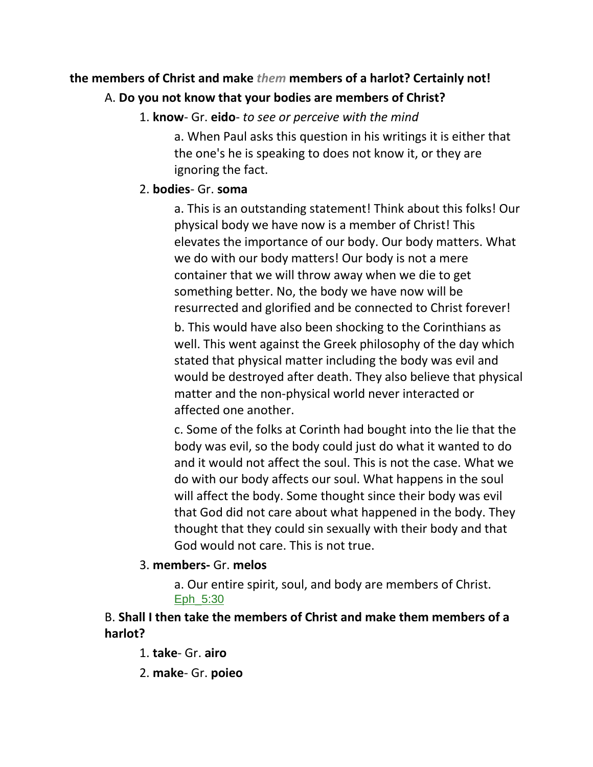# **the members of Christ and make** *them* **members of a harlot? Certainly not!**  A. **Do you not know that your bodies are members of Christ?**

1. **know**- Gr. **eido**- *to see or perceive with the mind*

a. When Paul asks this question in his writings it is either that the one's he is speaking to does not know it, or they are ignoring the fact.

## 2. **bodies**- Gr. **soma**

a. This is an outstanding statement! Think about this folks! Our physical body we have now is a member of Christ! This elevates the importance of our body. Our body matters. What we do with our body matters! Our body is not a mere container that we will throw away when we die to get something better. No, the body we have now will be resurrected and glorified and be connected to Christ forever!

b. This would have also been shocking to the Corinthians as well. This went against the Greek philosophy of the day which stated that physical matter including the body was evil and would be destroyed after death. They also believe that physical matter and the non-physical world never interacted or affected one another.

c. Some of the folks at Corinth had bought into the lie that the body was evil, so the body could just do what it wanted to do and it would not affect the soul. This is not the case. What we do with our body affects our soul. What happens in the soul will affect the body. Some thought since their body was evil that God did not care about what happened in the body. They thought that they could sin sexually with their body and that God would not care. This is not true.

## 3. **members-** Gr. **melos**

a. Our entire spirit, soul, and body are members of Christ. Eph\_5:30

## B. **Shall I then take the members of Christ and make them members of a harlot?**

1. **take**- Gr. **airo**

2. **make**- Gr. **poieo**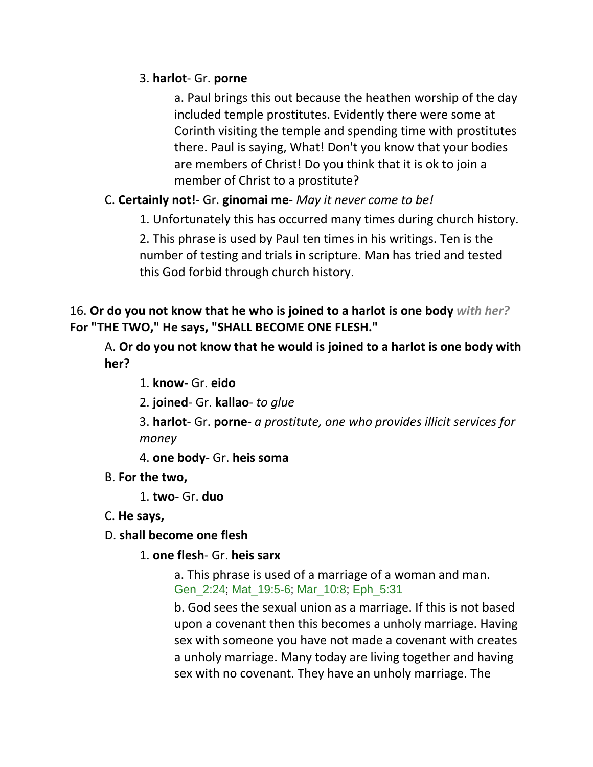### 3. **harlot**- Gr. **porne**

a. Paul brings this out because the heathen worship of the day included temple prostitutes. Evidently there were some at Corinth visiting the temple and spending time with prostitutes there. Paul is saying, What! Don't you know that your bodies are members of Christ! Do you think that it is ok to join a member of Christ to a prostitute?

## C. **Certainly not!**- Gr. **ginomai me**- *May it never come to be!*

1. Unfortunately this has occurred many times during church history.

2. This phrase is used by Paul ten times in his writings. Ten is the number of testing and trials in scripture. Man has tried and tested this God forbid through church history.

## 16. **Or do you not know that he who is joined to a harlot is one body** *with her?* **For "THE TWO," He says, "SHALL BECOME ONE FLESH."**

A. **Or do you not know that he would is joined to a harlot is one body with her?**

- 1. **know** Gr. **eido**
- 2. **joined** Gr. **kallao** *to glue*

3. **harlot**- Gr. **porne**- *a prostitute, one who provides illicit services for money*

4. **one body**- Gr. **heis soma**

B. **For the two,**

1. **two**- Gr. **duo**

C. **He says,**

### D. **shall become one flesh**

1. **one flesh**- Gr. **heis sarx**

a. This phrase is used of a marriage of a woman and man. Gen\_2:24; Mat\_19:5-6; Mar\_10:8; Eph\_5:31

b. God sees the sexual union as a marriage. If this is not based upon a covenant then this becomes a unholy marriage. Having sex with someone you have not made a covenant with creates a unholy marriage. Many today are living together and having sex with no covenant. They have an unholy marriage. The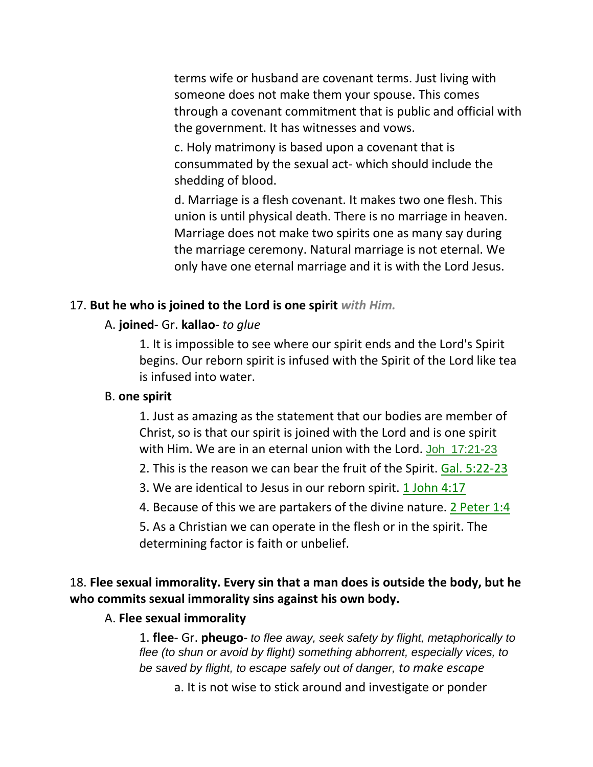terms wife or husband are covenant terms. Just living with someone does not make them your spouse. This comes through a covenant commitment that is public and official with the government. It has witnesses and vows.

c. Holy matrimony is based upon a covenant that is consummated by the sexual act- which should include the shedding of blood.

d. Marriage is a flesh covenant. It makes two one flesh. This union is until physical death. There is no marriage in heaven. Marriage does not make two spirits one as many say during the marriage ceremony. Natural marriage is not eternal. We only have one eternal marriage and it is with the Lord Jesus.

#### 17. **But he who is joined to the Lord is one spirit** *with Him.*

#### A. **joined**- Gr. **kallao**- *to glue*

1. It is impossible to see where our spirit ends and the Lord's Spirit begins. Our reborn spirit is infused with the Spirit of the Lord like tea is infused into water.

#### B. **one spirit**

1. Just as amazing as the statement that our bodies are member of Christ, so is that our spirit is joined with the Lord and is one spirit with Him. We are in an eternal union with the Lord. Joh 17:21-23

2. This is the reason we can bear the fruit of the Spirit. Gal. 5:22-23

3. We are identical to Jesus in our reborn spirit. 1 John 4:17

4. Because of this we are partakers of the divine nature. 2 Peter 1:4

5. As a Christian we can operate in the flesh or in the spirit. The determining factor is faith or unbelief.

# 18. **Flee sexual immorality. Every sin that a man does is outside the body, but he who commits sexual immorality sins against his own body.**

### A. **Flee sexual immorality**

1. **flee**- Gr. **pheugo**- *to flee away, seek safety by flight, metaphorically to flee (to shun or avoid by flight) something abhorrent, especially vices, to be saved by flight, to escape safely out of danger, to make escape*

a. It is not wise to stick around and investigate or ponder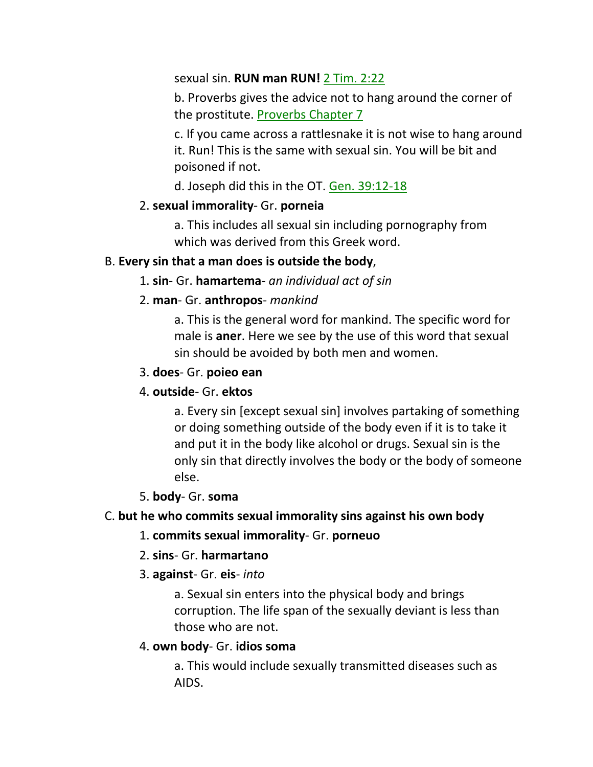sexual sin. **RUN man RUN!** 2 Tim. 2:22

b. Proverbs gives the advice not to hang around the corner of the prostitute. Proverbs Chapter 7

c. If you came across a rattlesnake it is not wise to hang around it. Run! This is the same with sexual sin. You will be bit and poisoned if not.

d. Joseph did this in the OT. Gen. 39:12-18

### 2. **sexual immorality**- Gr. **porneia**

a. This includes all sexual sin including pornography from which was derived from this Greek word.

### B. **Every sin that a man does is outside the body**,

### 1. **sin**- Gr. **hamartema**- *an individual act of sin*

### 2. **man**- Gr. **anthropos**- *mankind*

a. This is the general word for mankind. The specific word for male is **aner**. Here we see by the use of this word that sexual sin should be avoided by both men and women.

### 3. **does**- Gr. **poieo ean**

## 4. **outside**- Gr. **ektos**

a. Every sin [except sexual sin] involves partaking of something or doing something outside of the body even if it is to take it and put it in the body like alcohol or drugs. Sexual sin is the only sin that directly involves the body or the body of someone else.

### 5. **body**- Gr. **soma**

## C. **but he who commits sexual immorality sins against his own body**

## 1. **commits sexual immorality**- Gr. **porneuo**

## 2. **sins**- Gr. **harmartano**

### 3. **against**- Gr. **eis**- *into*

a. Sexual sin enters into the physical body and brings corruption. The life span of the sexually deviant is less than those who are not.

## 4. **own body**- Gr. **idios soma**

a. This would include sexually transmitted diseases such as AIDS.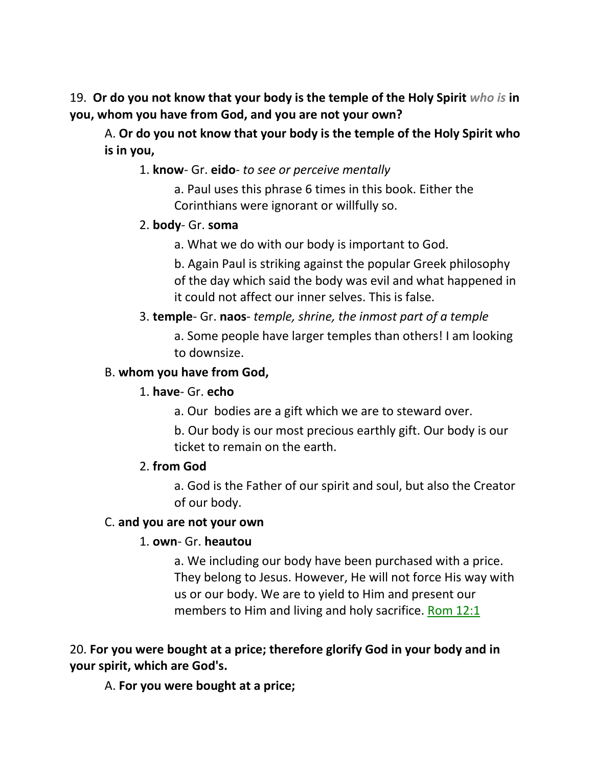19. **Or do you not know that your body is the temple of the Holy Spirit** *who is* **in you, whom you have from God, and you are not your own?** 

A. **Or do you not know that your body is the temple of the Holy Spirit who is in you,**

1. **know**- Gr. **eido**- *to see or perceive mentally*

a. Paul uses this phrase 6 times in this book. Either the Corinthians were ignorant or willfully so.

### 2. **body**- Gr. **soma**

a. What we do with our body is important to God.

b. Again Paul is striking against the popular Greek philosophy of the day which said the body was evil and what happened in it could not affect our inner selves. This is false.

## 3. **temple**- Gr. **naos**- *temple, shrine, the inmost part of a temple*

a. Some people have larger temples than others! I am looking to downsize.

### B. **whom you have from God,**

### 1. **have**- Gr. **echo**

a. Our bodies are a gift which we are to steward over.

b. Our body is our most precious earthly gift. Our body is our ticket to remain on the earth.

### 2. **from God**

a. God is the Father of our spirit and soul, but also the Creator of our body.

### C. **and you are not your own**

## 1. **own**- Gr. **heautou**

a. We including our body have been purchased with a price. They belong to Jesus. However, He will not force His way with us or our body. We are to yield to Him and present our members to Him and living and holy sacrifice. Rom 12:1

# 20. **For you were bought at a price; therefore glorify God in your body and in your spirit, which are God's.**

A. **For you were bought at a price;**